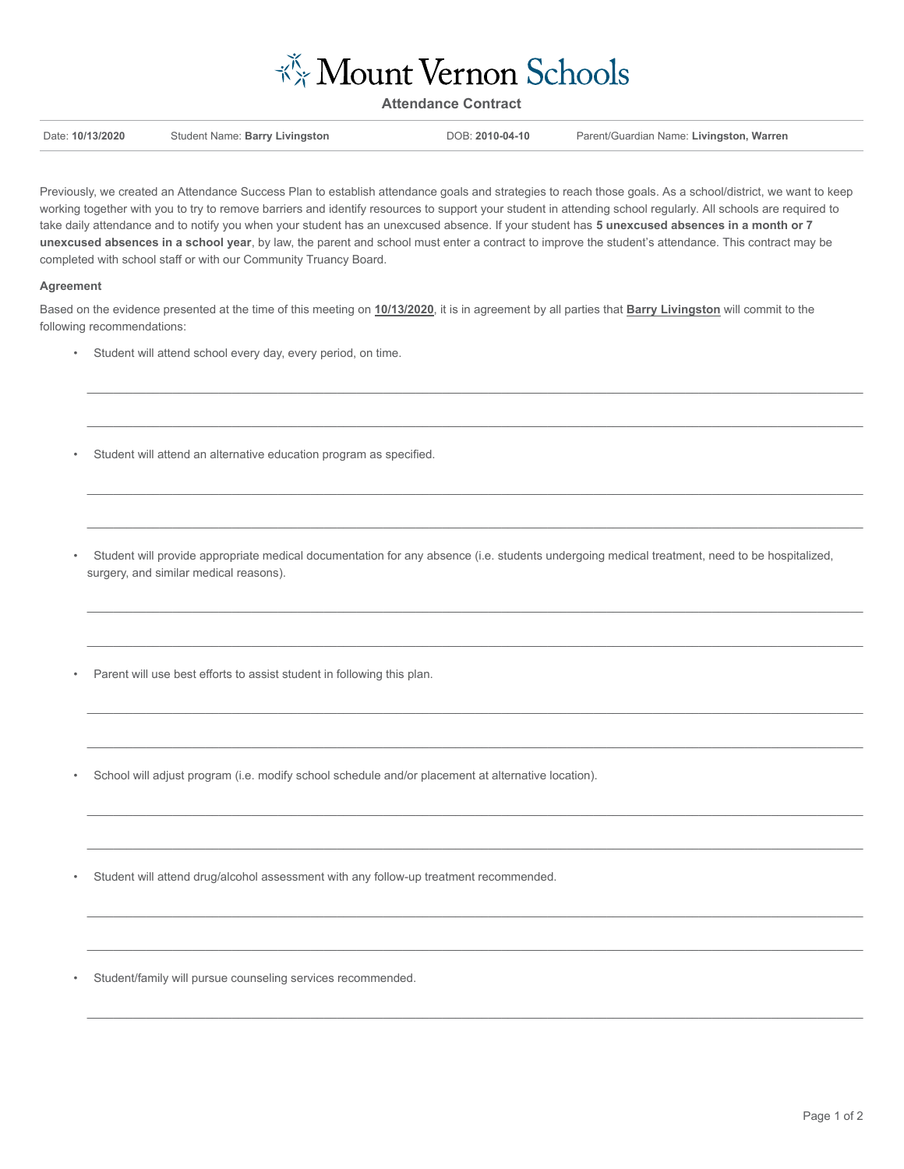

**Attendance Contract**

| Date: 10/13/2020 | Student Name: Barry Livingston | DOB: 2010-04-10 | Parent/Guardian Name: Livingston, Warren |
|------------------|--------------------------------|-----------------|------------------------------------------|
|                  |                                |                 |                                          |

Previously, we created an Attendance Success Plan to establish attendance goals and strategies to reach those goals. As a school/district, we want to keep working together with you to try to remove barriers and identify resources to support your student in attending school regularly. All schools are required to take daily attendance and to notify you when your student has an unexcused absence. If your student has **5 unexcused absences in a month or 7 unexcused absences in a school year**, by law, the parent and school must enter a contract to improve the student's attendance. This contract may be completed with school staff or with our Community Truancy Board.

## **Agreement**

Based on the evidence presented at the time of this meeting on **10/13/2020**, it is in agreement by all parties that **Barry Livingston** will commit to the following recommendations:

- Student will attend school every day, every period, on time.
- Student will attend an alternative education program as specified.
- Student will provide appropriate medical documentation for any absence (i.e. students undergoing medical treatment, need to be hospitalized, surgery, and similar medical reasons).

 $\mathcal{L} = \{ \mathcal{L} = \{ \mathcal{L} = \{ \mathcal{L} = \{ \mathcal{L} = \{ \mathcal{L} = \{ \mathcal{L} = \{ \mathcal{L} = \{ \mathcal{L} = \{ \mathcal{L} = \{ \mathcal{L} = \{ \mathcal{L} = \{ \mathcal{L} = \{ \mathcal{L} = \{ \mathcal{L} = \{ \mathcal{L} = \{ \mathcal{L} = \{ \mathcal{L} = \{ \mathcal{L} = \{ \mathcal{L} = \{ \mathcal{L} = \{ \mathcal{L} = \{ \mathcal{L} = \{ \mathcal{L} = \{ \mathcal{$ 

 $\mathcal{L} = \{ \mathcal{L} = \{ \mathcal{L} = \{ \mathcal{L} = \{ \mathcal{L} = \{ \mathcal{L} = \{ \mathcal{L} = \{ \mathcal{L} = \{ \mathcal{L} = \{ \mathcal{L} = \{ \mathcal{L} = \{ \mathcal{L} = \{ \mathcal{L} = \{ \mathcal{L} = \{ \mathcal{L} = \{ \mathcal{L} = \{ \mathcal{L} = \{ \mathcal{L} = \{ \mathcal{L} = \{ \mathcal{L} = \{ \mathcal{L} = \{ \mathcal{L} = \{ \mathcal{L} = \{ \mathcal{L} = \{ \mathcal{$ 

 $\_$  , and the state of the state of the state of the state of the state of the state of the state of the state of the state of the state of the state of the state of the state of the state of the state of the state of the

 $\_$  , and the state of the state of the state of the state of the state of the state of the state of the state of the state of the state of the state of the state of the state of the state of the state of the state of the

 $\mathcal{L} = \{ \mathcal{L} = \{ \mathcal{L} = \{ \mathcal{L} = \{ \mathcal{L} = \{ \mathcal{L} = \{ \mathcal{L} = \{ \mathcal{L} = \{ \mathcal{L} = \{ \mathcal{L} = \{ \mathcal{L} = \{ \mathcal{L} = \{ \mathcal{L} = \{ \mathcal{L} = \{ \mathcal{L} = \{ \mathcal{L} = \{ \mathcal{L} = \{ \mathcal{L} = \{ \mathcal{L} = \{ \mathcal{L} = \{ \mathcal{L} = \{ \mathcal{L} = \{ \mathcal{L} = \{ \mathcal{L} = \{ \mathcal{$ 

 $\mathcal{L} = \{ \mathcal{L} = \{ \mathcal{L} = \{ \mathcal{L} = \{ \mathcal{L} = \{ \mathcal{L} = \{ \mathcal{L} = \{ \mathcal{L} = \{ \mathcal{L} = \{ \mathcal{L} = \{ \mathcal{L} = \{ \mathcal{L} = \{ \mathcal{L} = \{ \mathcal{L} = \{ \mathcal{L} = \{ \mathcal{L} = \{ \mathcal{L} = \{ \mathcal{L} = \{ \mathcal{L} = \{ \mathcal{L} = \{ \mathcal{L} = \{ \mathcal{L} = \{ \mathcal{L} = \{ \mathcal{L} = \{ \mathcal{$ 

 $\mathcal{L} = \{ \mathcal{L} = \{ \mathcal{L} = \{ \mathcal{L} = \{ \mathcal{L} = \{ \mathcal{L} = \{ \mathcal{L} = \{ \mathcal{L} = \{ \mathcal{L} = \{ \mathcal{L} = \{ \mathcal{L} = \{ \mathcal{L} = \{ \mathcal{L} = \{ \mathcal{L} = \{ \mathcal{L} = \{ \mathcal{L} = \{ \mathcal{L} = \{ \mathcal{L} = \{ \mathcal{L} = \{ \mathcal{L} = \{ \mathcal{L} = \{ \mathcal{L} = \{ \mathcal{L} = \{ \mathcal{L} = \{ \mathcal{$ 

 $\_$  , and the state of the state of the state of the state of the state of the state of the state of the state of the state of the state of the state of the state of the state of the state of the state of the state of the

 $\_$  , and the state of the state of the state of the state of the state of the state of the state of the state of the state of the state of the state of the state of the state of the state of the state of the state of the

 $\_$  , and the state of the state of the state of the state of the state of the state of the state of the state of the state of the state of the state of the state of the state of the state of the state of the state of the

 $\_$  , and the state of the state of the state of the state of the state of the state of the state of the state of the state of the state of the state of the state of the state of the state of the state of the state of the

 $\_$  , and the state of the state of the state of the state of the state of the state of the state of the state of the state of the state of the state of the state of the state of the state of the state of the state of the

 $\_$  , and the state of the state of the state of the state of the state of the state of the state of the state of the state of the state of the state of the state of the state of the state of the state of the state of the

- Parent will use best efforts to assist student in following this plan.
- School will adjust program (i.e. modify school schedule and/or placement at alternative location).
- Student will attend drug/alcohol assessment with any follow-up treatment recommended.
- Student/family will pursue counseling services recommended.